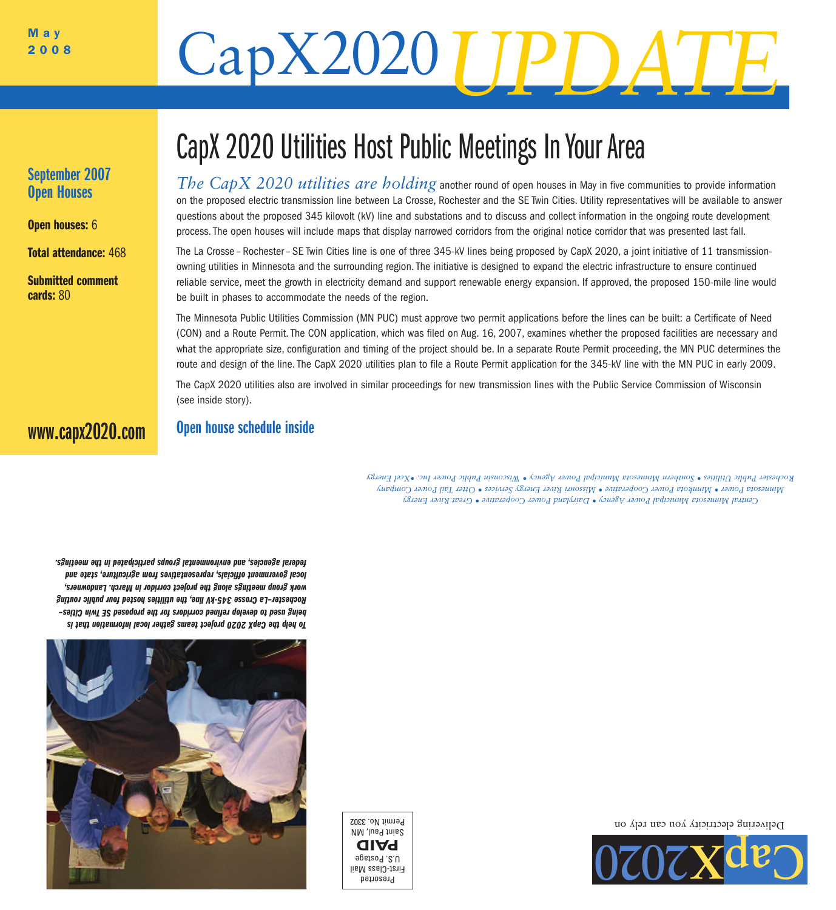# May<br>2008 CapX2020

## September 2007 Open Houses

**Open houses: 6** 

Total attendance: 468

Submitted comment cards: 80

## CapX 2020 Utilities Host Public Meetings In Your Area

*The CapX 2020 utilities are holding* another round of open houses in May in five communities to provide information on the proposed electric transmission line between La Crosse, Rochester and the SE Twin Cities. Utility representatives will be available to answer questions about the proposed 345 kilovolt (kV) line and substations and to discuss and collect information in the ongoing route development process.The open houses will include maps that display narrowed corridors from the original notice corridor that was presented last fall.

The La Crosse – Rochester– SE Twin Cities line is one of three 345-kV lines being proposed by CapX 2020, a joint initiative of 11 transmissionowning utilities in Minnesota and the surrounding region.The initiative is designed to expand the electric infrastructure to ensure continued reliable service, meet the growth in electricity demand and support renewable energy expansion. If approved, the proposed 150-mile line would be built in phases to accommodate the needs of the region.

The Minnesota Public Utilities Commission (MN PUC) must approve two permit applications before the lines can be built: a Certificate of Need (CON) and a Route Permit.The CON application, which was filed on Aug. 16, 2007, examines whether the proposed facilities are necessary and what the appropriate size, configuration and timing of the project should be. In a separate Route Permit proceeding, the MN PUC determines the route and design of the line.The CapX 2020 utilities plan to file a Route Permit application for the 345-kV line with the MN PUC in early 2009.

The CapX 2020 utilities also are involved in similar proceedings for new transmission lines with the Public Service Commission of Wisconsin (see inside story).

## www.capx2020.com

## Open house schedule inside

*Energy River Great • Cooperative Power Dairyland • Agency Power Municipal Minnesota Central Company Power il Ta Otter • Services Energy River Missouri • Cooperative Power Minnkota • Power Minnesota* Rochester Public Leilities . Southern Minnsin Annicipal Power Agency Wisconsin Public Power Inc. . Scel Energy

*is that information local ther ga teams project 2020 CapX the help To Cities– in Tw SE proposed the for corridors refined lop ve de to used being routing public four hosted utilities the line, 345-kV Crosse Rochester–La wners, Lando March. in corridor project the along meetings group rk wo and state agriculture, from es representativ officials, ernment gov local meetings. the in ticipated par groups environmental and agencies, al feder*